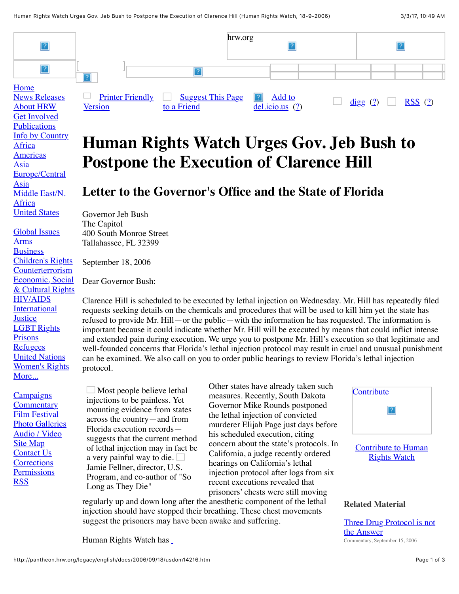

## **Human Rights Watch Urges Gov. Jeb Bush to Postpone the Execution of Clarence Hill**

## **Letter to the Governor's Office and the State of Florida**

Governor Jeb Bush The Capitol 400 South Monroe Street Tallahassee, FL 32399

September 18, 2006

Dear Governor Bush:

Clarence Hill is scheduled to be executed by lethal injection on Wednesday. Mr. Hill has repeatedly filed requests seeking details on the chemicals and procedures that will be used to kill him yet the state has refused to provide Mr. Hill—or the public—with the information he has requested. The information is important because it could indicate whether Mr. Hill will be executed by means that could inflict intense and extended pain during execution. We urge you to postpone Mr. Hill's execution so that legitimate and well-founded concerns that Florida's lethal injection protocol may result in cruel and unusual punishment can be examined. We also call on you to order public hearings to review Florida's lethal injection protocol.

**[Campaigns](http://pantheon.hrw.org/campaigns/campaigns.html) [Commentary](http://pantheon.hrw.org/doc/?t=editorials)** [Film Festival](http://pantheon.hrw.org/iff/) [Photo Galleries](http://pantheon.hrw.org/doc/?t=photoessays) [Audio / Video](http://pantheon.hrw.org/doc/?t=videos) [Site Map](http://pantheon.hrw.org/site-map.html) [Contact Us](http://pantheon.hrw.org/contact.html) **[Corrections](http://pantheon.hrw.org/help/corrections.htm) [Permissions](http://pantheon.hrw.org/about/faq/permissions.htm) [RSS](http://pantheon.hrw.org/rsslist/)** 

**[Publications](http://pantheon.hrw.org/doc/?t=pubs)** [Info by Country](http://pantheon.hrw.org/countries.html)

[Europe/Central](http://pantheon.hrw.org/doc/?t=europe)

[Middle East/N.](http://pantheon.hrw.org/doc/?t=mideast)

[United States](http://pantheon.hrw.org/doc/?t=usa)

[Global Issues](http://pantheon.hrw.org/advocacy/index.htm)

[HIV/AIDS](http://pantheon.hrw.org/doc/?t=hivaids&document_limit=0,2) [International](http://pantheon.hrw.org/doc/?t=justice) **Justice** [LGBT Rights](http://pantheon.hrw.org/doc/?t=lgbt) [Prisons](http://pantheon.hrw.org/prisons/) [Refugees](http://pantheon.hrw.org/doc/?t=refugees&document_limit=0,2) [United Nations](http://pantheon.hrw.org/un/) [Women's Rights](http://pantheon.hrw.org/women/)

[More...](http://pantheon.hrw.org/advocacy/index.htm)

[Children's Rights](http://pantheon.hrw.org/children/) [Counterterrorism](http://pantheon.hrw.org/doc/?t=ct) Economic, Social [& Cultural Rights](http://pantheon.hrw.org/doc/?t=esc)

[Africa](http://pantheon.hrw.org/doc/?t=africa) **[Americas](http://pantheon.hrw.org/doc/?t=americas)** [Asia](http://pantheon.hrw.org/doc/?t=asia)

Asia

Africa

[Arms](http://pantheon.hrw.org/doc/?t=arms) **[Business](http://pantheon.hrw.org/doc/?t=corporations)** 

> $\Box$  Most people believe lethal injections to be painless. Yet mounting evidence from states across the country—and from Florida execution records suggests that the current method of lethal injection may in fact be a very painful way to die.  $\Box$ Jamie Fellner, director, U.S. Program, and co-author of "So Long as They Die"

Other states have already taken such measures. Recently, South Dakota Governor Mike Rounds postponed the lethal injection of convicted murderer Elijah Page just days before his scheduled execution, citing concern about the state's protocols. In California, a judge recently ordered hearings on California's lethal injection protocol after logs from six recent executions revealed that prisoners' chests were still moving

regularly up and down long after the anesthetic component of the lethal injection should have stopped their breathing. These chest movements suggest the prisoners may have been awake and suffering.

[Human Rights Watch has](http://hrw.org/reports/2006/us0406/) 



[Contribute to Human](http://pantheon.hrw.org/donations/) **Rights Watch** 

## **Related Material**

[Three Drug Protocol is not](http://hrw.org/english/docs/2006/09/15/usdom14204.htm) the Answer Commentary, September 15, 2006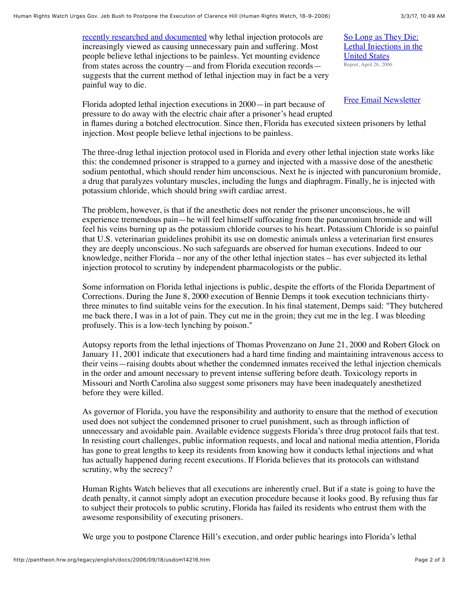[recently researched and documented](http://hrw.org/reports/2006/us0406/) why lethal injection protocols are increasingly viewed as causing unnecessary pain and suffering. Most people believe lethal injections to be painless. Yet mounting evidence from states across the country—and from Florida execution records suggests that the current method of lethal injection may in fact be a very painful way to die.

[Free Email Newsletter](http://pantheon.hrw.org/act/subscribe-mlists/subscribe.htm)

So Long as They Die: [Lethal Injections in the](http://hrw.org/reports/2006/us0406/)

United States Report, April 26, 2006

Florida adopted lethal injection executions in 2000—in part because of pressure to do away with the electric chair after a prisoner's head erupted in flames during a botched electrocution. Since then, Florida has executed sixteen prisoners by lethal injection. Most people believe lethal injections to be painless.

The three-drug lethal injection protocol used in Florida and every other lethal injection state works like this: the condemned prisoner is strapped to a gurney and injected with a massive dose of the anesthetic sodium pentothal, which should render him unconscious. Next he is injected with pancuronium bromide, a drug that paralyzes voluntary muscles, including the lungs and diaphragm. Finally, he is injected with potassium chloride, which should bring swift cardiac arrest.

The problem, however, is that if the anesthetic does not render the prisoner unconscious, he will experience tremendous pain—he will feel himself suffocating from the pancuronium bromide and will feel his veins burning up as the potassium chloride courses to his heart. Potassium Chloride is so painful that U.S. veterinarian guidelines prohibit its use on domestic animals unless a veterinarian first ensures they are deeply unconscious. No such safeguards are observed for human executions. Indeed to our knowledge, neither Florida – nor any of the other lethal injection states – has ever subjected its lethal injection protocol to scrutiny by independent pharmacologists or the public.

Some information on Florida lethal injections is public, despite the efforts of the Florida Department of Corrections. During the June 8, 2000 execution of Bennie Demps it took execution technicians thirtythree minutes to find suitable veins for the execution. In his final statement, Demps said: "They butchered me back there, I was in a lot of pain. They cut me in the groin; they cut me in the leg. I was bleeding profusely. This is a low-tech lynching by poison."

Autopsy reports from the lethal injections of Thomas Provenzano on June 21, 2000 and Robert Glock on January 11, 2001 indicate that executioners had a hard time finding and maintaining intravenous access to their veins—raising doubts about whether the condemned inmates received the lethal injection chemicals in the order and amount necessary to prevent intense suffering before death. Toxicology reports in Missouri and North Carolina also suggest some prisoners may have been inadequately anesthetized before they were killed.

As governor of Florida, you have the responsibility and authority to ensure that the method of execution used does not subject the condemned prisoner to cruel punishment, such as through infliction of unnecessary and avoidable pain. Available evidence suggests Florida's three drug protocol fails that test. In resisting court challenges, public information requests, and local and national media attention, Florida has gone to great lengths to keep its residents from knowing how it conducts lethal injections and what has actually happened during recent executions. If Florida believes that its protocols can withstand scrutiny, why the secrecy?

Human Rights Watch believes that all executions are inherently cruel. But if a state is going to have the death penalty, it cannot simply adopt an execution procedure because it looks good. By refusing thus far to subject their protocols to public scrutiny, Florida has failed its residents who entrust them with the awesome responsibility of executing prisoners.

We urge you to postpone Clarence Hill's execution, and order public hearings into Florida's lethal